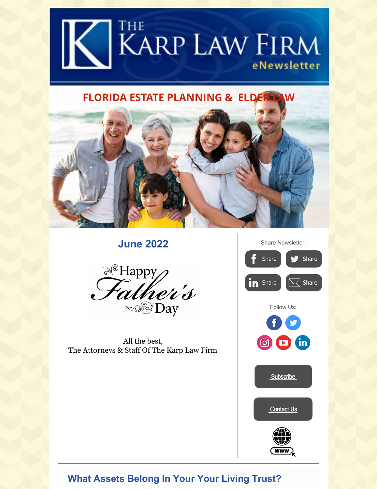

# **FLORIDA ESTATE PLANNING & ELDER-LAW**



**June 2022**



All the best, The Attorneys & Staff Of The Karp Law Firm



## **What Assets Belong In Your Your Living Trust?**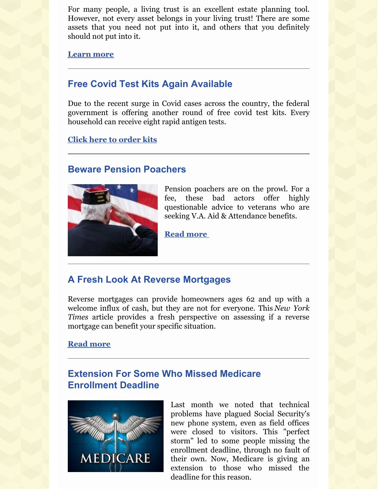For many people, a living trust is an excellent estate planning tool. However, not every asset belongs in your living trust! There are some assets that you need not put into it, and others that you definitely should not put into it.

**[Learn](https://karplaw.com/some-assets-do-not-belong-in-your-living-trust/) more**

## **Free Covid Test Kits Again Available**

Due to the recent surge in Covid cases across the country, the federal government is offering another round of free covid test kits. Every household can receive eight rapid antigen tests.

**Click here to [order](https://www.covid.gov/tests) kits**.

#### **Beware Pension Poachers**



Pension poachers are on the prowl. For a fee, these bad actors offer highly questionable advice to veterans who are seeking V.A. Aid & Attendance benefits.

**Read [more](https://karplaw.com/beware-pension-poachers-prowling-for-veterans/)**

## **A Fresh Look At Reverse Mortgages**

Reverse mortgages can provide homeowners ages 62 and up with a welcome influx of cash, but they are not for everyone. This *New York Times* article provides a fresh perspective on assessing if a reverse mortgage can benefit your specific situation.

#### **Read [more](http://www.nytimes.com/2022/04/01/business/retirement-reverse-mortgages-home-equity.html)**

## **Extension For Some Who Missed Medicare Enrollment Deadline**



Last month we noted that technical problems have plagued Social Security's new phone system, even as field offices were closed to visitors. This "perfect storm" led to some people missing the enrollment deadline, through no fault of their own. Now, Medicare is giving an extension to those who missed the deadline for this reason.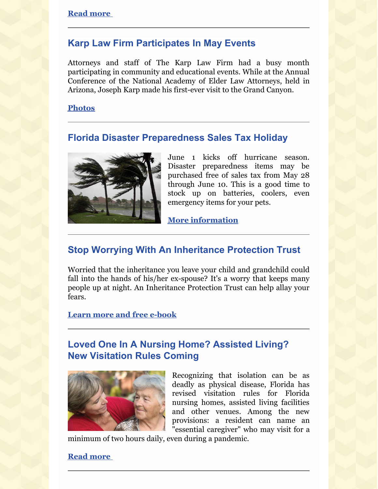#### **Karp Law Firm Participates In May Events**

Attorneys and staff of The Karp Law Firm had a busy month participating in community and educational events. While at the Annual Conference of the National Academy of Elder Law Attorneys, held in Arizona, Joseph Karp made his first-ever visit to the Grand Canyon.

#### **[Photos](https://karplaw.com/may-events/)**

### **Florida Disaster Preparedness Sales Tax Holiday**



June 1 kicks off hurricane season. Disaster preparedness items may be purchased free of sales tax from May 28 through June 10. This is a good time to stock up on batteries, coolers, even emergency items for your pets.

**More [information](https://floridarevenue.com/taxes/tips/Documents/TIP_22A01-03.pdf)**

### **Stop Worrying With An Inheritance Protection Trust**

Worried that the inheritance you leave your child and grandchild could fall into the hands of his/her ex-spouse? It's a worry that keeps many people up at night. An Inheritance Protection Trust can help allay your fears.

**Learn more and free [e-book](https://karplaw.com/practice-area/florida-estate-planning/inheritance-trusts/)**

### **Loved One In A Nursing Home? Assisted Living? New Visitation Rules Coming**



Recognizing that isolation can be as deadly as physical disease, Florida has revised visitation rules for Florida nursing homes, assisted living facilities and other venues. Among the new provisions: a resident can name an "essential caregiver" who may visit for a

minimum of two hours daily, even during a pandemic.

#### **Read [more](https://karplaw.com/visiting-loved-ones-in-florida-nursing-homes-the-latest-rules/)**